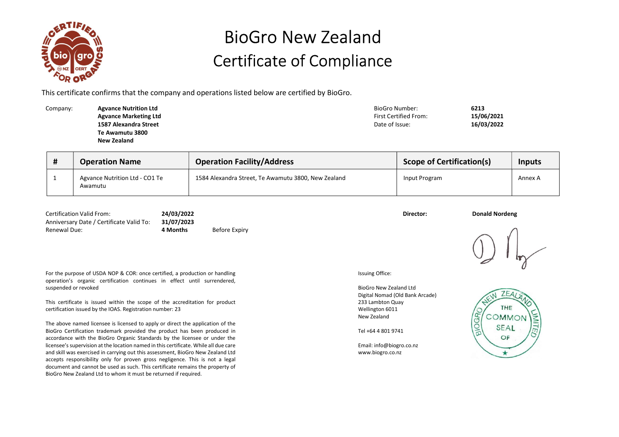

## BioGro New Zealand Certificate of Compliance

This certificate confirms that the company and operations listed below are certified by BioGro.

| Company: | <b>Agvance Nutrition Ltd</b> | BioGro Number:               | 6213       |
|----------|------------------------------|------------------------------|------------|
|          | <b>Agvance Marketing Ltd</b> | <b>First Certified From:</b> | 15/06/2021 |
|          | 1587 Alexandra Street        | Date of Issue:               | 16/03/2022 |
|          | Te Awamutu 3800              |                              |            |
|          | New Zealand                  |                              |            |
|          |                              |                              |            |

| <b>Operation Name</b>                     | <b>Operation Facility/Address</b>                   | <b>Scope of Certification(s)</b> | <b>Inputs</b> |  |
|-------------------------------------------|-----------------------------------------------------|----------------------------------|---------------|--|
| Agvance Nutrition Ltd - CO1 Te<br>Awamutu | 1584 Alexandra Street, Te Awamutu 3800, New Zealand | Input Program                    | Annex A       |  |

| <b>Certification Valid From:</b><br>Anniversary Date / Certificate Valid To: | 24/03/2022<br>31/07/2023 |               | Director: | <b>Donald Nordeng</b> |
|------------------------------------------------------------------------------|--------------------------|---------------|-----------|-----------------------|
| Renewal Due:                                                                 | 4 Months                 | Before Expiry |           |                       |

For the purpose of USDA NOP & COR: once certified, a production or handling operation's organic certification continues in effect until surrendered, suspended or revoked

This certificate is issued within the scope of the accreditation for product certification issued by the IOAS. Registration number: 23

The above named licensee is licensed to apply or direct the application of the BioGro Certification trademark provided the product has been produced in accordance with the BioGro Organic Standards by the licensee or under the licensee's supervision at the location named in this certificate. While all due care and skill was exercised in carrying out this assessment, BioGro New Zealand Ltd accepts responsibility only for proven gross negligence. This is not a legal document and cannot be used as such. This certificate remains the property of BioGro New Zealand Ltd to whom it must be returned if required.

Issuing Office:

BioGro New Zealand Ltd Digital Nomad (Old Bank Arcade) 233 Lambton Quay Wellington 6011 New Zealand

Tel +64 4 801 9741

Email: info@biogro.co.nz www.biogro.co.nz



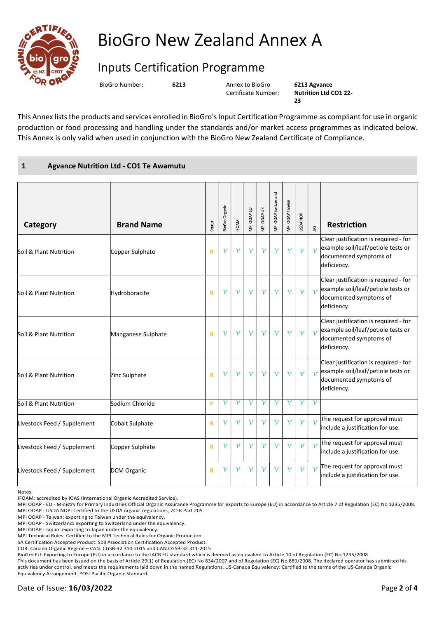

## BioGro New Zealand Annex A

## Inputs Certification Programme

BioGro Number: 6213 Annex to BioGro

Certificate Number:

6213 Agvance Nutrition Ltd CO1 22-  $23$ 

This Annex lists the products and services enrolled in BioGro's Input Certification Programme as compliant for use in organic production or food processing and handling under the standards and/or market access programmes as indicated below. This Annex is only valid when used in conjunction with the BioGro New Zealand Certificate of Compliance.

## 1 Agvance Nutrition Ltd - CO1 Te Awamutu

| Category                    | <b>Brand Name</b>  | Status       | BioGro Organic | <b>IFOAM</b> | VIPI OOAP EU | <b>VIPI OOAP UK</b> | <b>MPI OOAP Switzerland</b> | VIPI OOAP Taiwan | <b>USDA NOP</b> | $\tilde{\mathbf{z}}$ | <b>Restriction</b>                                                                                                   |
|-----------------------------|--------------------|--------------|----------------|--------------|--------------|---------------------|-----------------------------|------------------|-----------------|----------------------|----------------------------------------------------------------------------------------------------------------------|
| Soil & Plant Nutrition      | Copper Sulphate    | $\mathbb{R}$ | $\mathcal V$   | $\mathcal V$ | $\mathcal V$ | $\mathcal V$        | $\mathcal V$                | $\mathcal V$     | $\mathcal V$    | $\mathcal{V}$        | Clear justification is required - for<br>example soil/leaf/petiole tests or<br>documented symptoms of<br>deficiency. |
| Soil & Plant Nutrition      | Hydroboracite      | $\mathbf R$  | $\mathcal V$   | $\mathcal V$ | $\mathcal V$ | $\mathcal V$        | $\mathcal V$                | $\mathcal V$     | $\gamma$        | $\gamma$             | Clear justification is required - for<br>example soil/leaf/petiole tests or<br>documented symptoms of<br>deficiency. |
| Soil & Plant Nutrition      | Manganese Sulphate | $\mathbb{R}$ | $\mathcal V$   | $\mathcal V$ | $\mathcal V$ | $\mathcal V$        | $\mathcal V$                | $\mathcal V$     | $\mathcal V$    | $\mathcal{V}$        | Clear justification is required - for<br>example soil/leaf/petiole tests or<br>documented symptoms of<br>deficiency. |
| Soil & Plant Nutrition      | Zinc Sulphate      | $\mathbf R$  | $\mathcal V$   | $\mathcal V$ | $\mathcal V$ | $\mathcal V$        | $\mathcal V$                | $\mathcal V$     | $\gamma$        | $\mathcal{V}$        | Clear justification is required - for<br>example soil/leaf/petiole tests or<br>documented symptoms of<br>deficiency. |
| Soil & Plant Nutrition      | Sodium Chloride    | P            | ν              | $\mathcal V$ | ν            | ν                   | ν                           | $\mathcal V$     | ν               | $\mathcal V$         |                                                                                                                      |
| Livestock Feed / Supplement | Cobalt Sulphate    | $\mathbf R$  | $\mathcal V$   | $\mathcal V$ | $\mathcal V$ | $\mathcal V$        | $\mathcal V$                | $\mathcal V$     | $\mathcal V$    | $\mathcal{V}$        | The request for approval must<br>include a justification for use.                                                    |
| Livestock Feed / Supplement | Copper Sulphate    | $\mathbf R$  | $\mathcal V$   | $\gamma$     | $\mathcal V$ | $\mathcal V$        | $\mathcal V$                | $\gamma$         | $\mathcal{V}$   | $\gamma$             | The request for approval must<br>include a justification for use.                                                    |
| Livestock Feed / Supplement | <b>DCM Organic</b> | $\mathbf R$  | $\mathcal V$   | $\mathcal V$ | $\mathcal V$ | $\mathcal V$        | $\mathcal V$                | $\mathcal V$     | $\mathcal V$    |                      | The request for approval must<br>include a justification for use.                                                    |

Notes:

SA Certification Accepted Product: Soil Association Certification Accepted Product.

COR: Canada Organic Regime – CAN. CGSB-32.310-2015 and CAN.CGSB-32.311-2015

BioGro EU: Exporting to Europe (EU) in accordance to the IACB EU standard which is deemed as equivalent to Article 10 of Regulation (EC) No 1235/2008 .

This document has been issued on the basis of Article 29(1) of Regulation (EC) No 834/2007 and of Regulation (EC) No 889/2008. The declared operator has submitted his activities under control, and meets the requirements laid down in the named Regulations. US-Canada Equivalency: Certified to the terms of the US-Canada Organic Equivalency Arrangement. POS: Pacific Organic Standard.

IFOAM: accredited by IOAS (International Organic Accredited Service).

MPI OOAP - EU - Ministry for Primary Industries Official Organic Assurance Programme for exports to Europe (EU) in accordance to Article 7 of Regulation (EC) No 1235/2008. MPI OOAP - USDA NOP: Certified to the USDA organic regulations, 7CFR Part 205

MPI OOAP - Taiwan: exporting to Taiwan under the equivalency.

MPI OOAP - Switzerland: exporting to Switzerland under the equivalency.

MPI OOAP - Japan: exporting to Japan under the equivalency.

MPI Technical Rules: Certified to the MPI Technical Rules for Organic Production.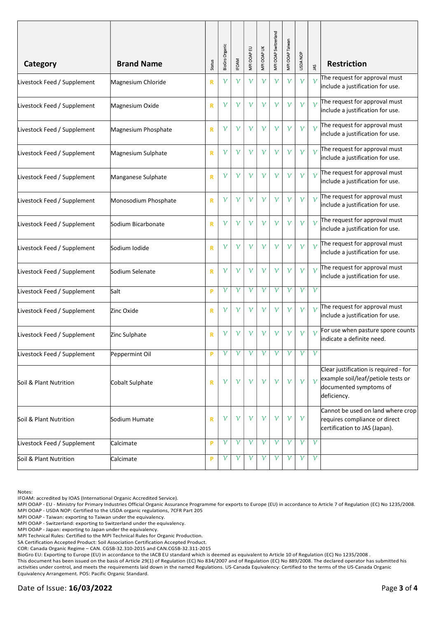|                             |                      |               |                |              |              |              | MPI OOAP Switzerland | MPI OOAP Taiwan |              |                      |                                                                                                                      |
|-----------------------------|----------------------|---------------|----------------|--------------|--------------|--------------|----------------------|-----------------|--------------|----------------------|----------------------------------------------------------------------------------------------------------------------|
| Category                    | <b>Brand Name</b>    | <b>Status</b> | BioGro Organic | <b>IFOAM</b> | MPI OOAP EU  | MPI OOAP UK  |                      |                 | USDA NOP     | $\tilde{\mathbf{z}}$ | <b>Restriction</b>                                                                                                   |
| Livestock Feed / Supplement | Magnesium Chloride   | R             | ν              | $\mathcal V$ | $\mathcal V$ | $\mathcal V$ | $\gamma$             | $\mathcal V$    | $\mathcal V$ | $\mathcal{V}$        | The request for approval must<br>include a justification for use.                                                    |
| Livestock Feed / Supplement | Magnesium Oxide      | $\mathbf R$   | $\mathcal V$   | $\mathcal V$ | $\mathcal V$ | $\mathcal V$ | ν                    | $\mathcal V$    | $\gamma$     | $\mathcal{V}$        | The request for approval must<br>include a justification for use.                                                    |
| Livestock Feed / Supplement | Magnesium Phosphate  | R             | $\mathcal V$   | $\mathcal V$ | $\mathcal V$ | $\mathcal V$ | ν                    | $\mathcal V$    | $\mathcal V$ | $\mathcal V$         | The request for approval must<br>include a justification for use.                                                    |
| Livestock Feed / Supplement | Magnesium Sulphate   | $\mathbf R$   | $\mathcal V$   | $\mathcal V$ | $\mathcal V$ | $\mathcal V$ | ν                    | $\mathcal V$    | $\mathcal V$ | $\mathcal{V}$        | The request for approval must<br>include a justification for use.                                                    |
| Livestock Feed / Supplement | Manganese Sulphate   | $\mathbf R$   | $\mathcal V$   | $\gamma$     | $\mathcal V$ | $\mathcal V$ | $\mathcal V$         | $\mathcal V$    | $\gamma$     |                      | The request for approval must<br>include a justification for use.                                                    |
| Livestock Feed / Supplement | Monosodium Phosphate | $\mathbf R$   | $\mathcal V$   | $\mathcal V$ | $\mathcal V$ | $\mathcal V$ | ν                    | $\mathcal V$    | $\mathcal V$ | $\mathcal V$         | The request for approval must<br>include a justification for use.                                                    |
| Livestock Feed / Supplement | Sodium Bicarbonate   | $\mathbf R$   | ν              | $\mathcal V$ | $\mathcal V$ | $\mathcal V$ | ν                    | ν               | $\mathcal V$ |                      | The request for approval must<br>include a justification for use.                                                    |
| Livestock Feed / Supplement | Sodium Iodide        | $\mathbf R$   | $\mathcal V$   | $\gamma$     | $\mathcal V$ | $\mathcal V$ | $\mathcal V$         | $\gamma$        | $\mathcal V$ |                      | The request for approval must<br>include a justification for use.                                                    |
| Livestock Feed / Supplement | Sodium Selenate      | $\mathbf R$   | $\mathcal V$   | $\mathcal V$ | $\mathcal V$ | $\mathcal V$ | $\mathcal V$         | $\mathcal V$    | $\mathcal V$ | $\mathcal V$         | The request for approval must<br>include a justification for use.                                                    |
| Livestock Feed / Supplement | Salt                 | P             | $\mathcal V$   | $\mathcal V$ | $\mathcal V$ | $\mathcal V$ | $\mathcal V$         | $\mathcal V$    | $\mathcal V$ | $\mathcal V$         |                                                                                                                      |
| Livestock Feed / Supplement | Zinc Oxide           | $\mathbf R$   | $\mathcal V$   | $\mathcal V$ | $\mathcal V$ | $\mathcal V$ | ν                    | $\mathcal V$    | $\mathcal V$ | $\mathcal V$         | The request for approval must<br>include a justification for use.                                                    |
| Livestock Feed / Supplement | Zinc Sulphate        | R             | ν              | $\mathcal V$ | $\mathcal V$ | $\mathcal V$ | ν                    | $\mathcal V$    | $\mathcal V$ | $\mathcal{V}$        | For use when pasture spore counts<br>lindicate a definite need.                                                      |
| Livestock Feed / Supplement | Peppermint Oil       | P             | ν              | ν            | ν            | ν            | ν                    | ν               | ν            | ν                    |                                                                                                                      |
| Soil & Plant Nutrition      | Cobalt Sulphate      | $\mathbf R$   | $\mathcal V$   | $\mathcal V$ | $\mathcal V$ | $\gamma$     | $\mathcal V$         | $\mathcal V$    | $\mathcal V$ | $\mathcal V$         | Clear justification is required - for<br>example soil/leaf/petiole tests or<br>documented symptoms of<br>deficiency. |
| Soil & Plant Nutrition      | Sodium Humate        | $\mathbf R$   | $\mathcal V$   | $\mathcal V$ | $\mathcal V$ | $\mathcal V$ | $\mathcal V$         | $\mathcal V$    | $\mathcal V$ |                      | Cannot be used on land where crop<br>requires compliance or direct<br>certification to JAS (Japan).                  |
| Livestock Feed / Supplement | Calcimate            | P             | $\mathcal V$   | $\gamma$     | $\gamma$     | $\gamma$     | $\mathcal V$         | $\gamma$        | $\mathcal V$ | $\mathcal V$         |                                                                                                                      |
| Soil & Plant Nutrition      | Calcimate            | P             | $\mathcal V$   | $\gamma$     | $\mathcal V$ | $\gamma$     | $\mathcal V$         | $\mathcal V$    | $\mathcal V$ | $\gamma$             |                                                                                                                      |

Notes:

IFOAM: accredited by IOAS (International Organic Accredited Service).

MPI OOAP - EU - Ministry for Primary Industries Official Organic Assurance Programme for exports to Europe (EU) in accordance to Article 7 of Regulation (EC) No 1235/2008. MPI OOAP - USDA NOP: Certified to the USDA organic regulations, 7CFR Part 205

MPI OOAP - Taiwan: exporting to Taiwan under the equivalency.

MPI OOAP - Switzerland: exporting to Switzerland under the equivalency.

MPI OOAP - Japan: exporting to Japan under the equivalency.

MPI Technical Rules: Certified to the MPI Technical Rules for Organic Production.

SA Certification Accepted Product: Soil Association Certification Accepted Product.

COR: Canada Organic Regime – CAN. CGSB-32.310-2015 and CAN.CGSB-32.311-2015

BioGro EU: Exporting to Europe (EU) in accordance to the IACB EU standard which is deemed as equivalent to Article 10 of Regulation (EC) No 1235/2008 .

This document has been issued on the basis of Article 29(1) of Regulation (EC) No 834/2007 and of Regulation (EC) No 889/2008. The declared operator has submitted his activities under control, and meets the requirements laid down in the named Regulations. US-Canada Equivalency: Certified to the terms of the US-Canada Organic Equivalency Arrangement. POS: Pacific Organic Standard.